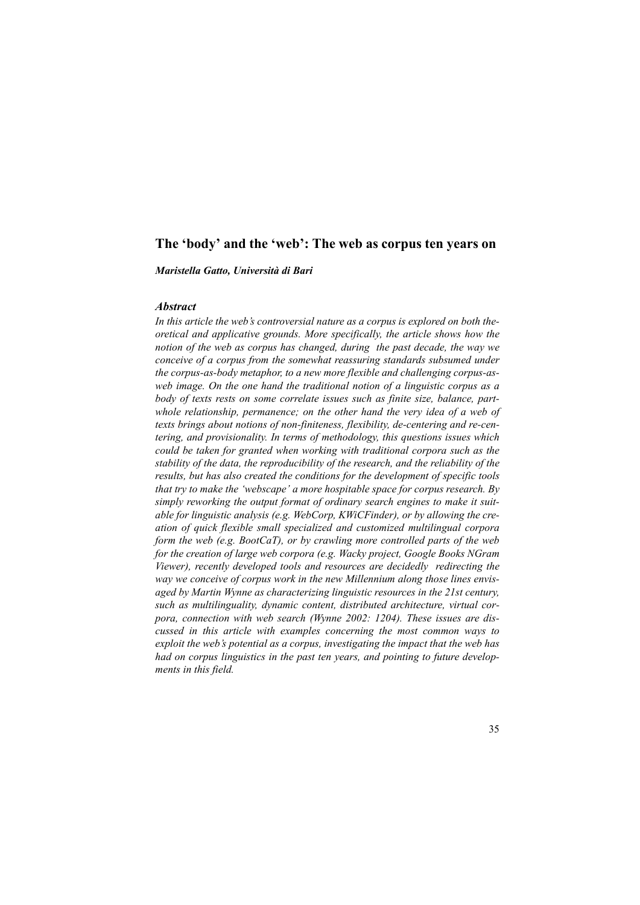# **The 'body' and the 'web': The web as corpus ten years on**

*Maristella Gatto, Università di Bari*

# *Abstract*

*In this article the web's controversial nature as a corpus is explored on both theoretical and applicative grounds. More specifically, the article shows how the notion of the web as corpus has changed, during the past decade, the way we conceive of a corpus from the somewhat reassuring standards subsumed under the corpus-as-body metaphor, to a new more flexible and challenging corpus-asweb image. On the one hand the traditional notion of a linguistic corpus as a body of texts rests on some correlate issues such as finite size, balance, partwhole relationship, permanence; on the other hand the very idea of a web of texts brings about notions of non-finiteness, flexibility, de-centering and re-centering, and provisionality. In terms of methodology, this questions issues which could be taken for granted when working with traditional corpora such as the stability of the data, the reproducibility of the research, and the reliability of the results, but has also created the conditions for the development of specific tools that try to make the 'webscape' a more hospitable space for corpus research. By simply reworking the output format of ordinary search engines to make it suitable for linguistic analysis (e.g. WebCorp, KWiCFinder), or by allowing the creation of quick flexible small specialized and customized multilingual corpora form the web (e.g. BootCaT), or by crawling more controlled parts of the web for the creation of large web corpora (e.g. Wacky project, Google Books NGram Viewer), recently developed tools and resources are decidedly redirecting the way we conceive of corpus work in the new Millennium along those lines envisaged by Martin Wynne as characterizing linguistic resources in the 21st century, such as multilinguality, dynamic content, distributed architecture, virtual corpora, connection with web search (Wynne 2002: 1204). These issues are discussed in this article with examples concerning the most common ways to exploit the web's potential as a corpus, investigating the impact that the web has had on corpus linguistics in the past ten years, and pointing to future developments in this field.*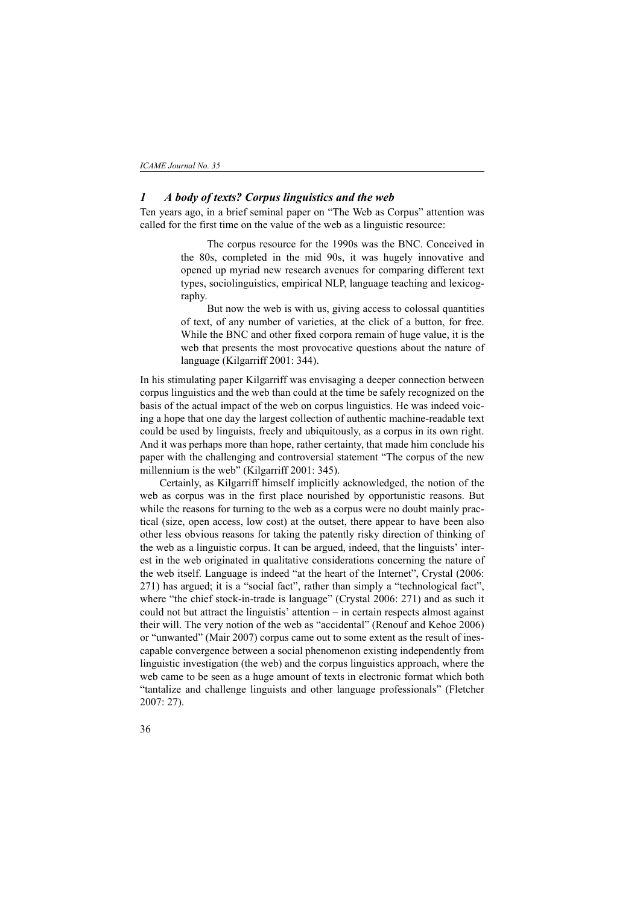## *1 A body of texts? Corpus linguistics and the web*

Ten years ago, in a brief seminal paper on "The Web as Corpus" attention was called for the first time on the value of the web as a linguistic resource:

> The corpus resource for the 1990s was the BNC. Conceived in the 80s, completed in the mid 90s, it was hugely innovative and opened up myriad new research avenues for comparing different text types, sociolinguistics, empirical NLP, language teaching and lexicography.

> But now the web is with us, giving access to colossal quantities of text, of any number of varieties, at the click of a button, for free. While the BNC and other fixed corpora remain of huge value, it is the web that presents the most provocative questions about the nature of language (Kilgarriff 2001: 344).

In his stimulating paper Kilgarriff was envisaging a deeper connection between corpus linguistics and the web than could at the time be safely recognized on the basis of the actual impact of the web on corpus linguistics. He was indeed voicing a hope that one day the largest collection of authentic machine-readable text could be used by linguists, freely and ubiquitously, as a corpus in its own right. And it was perhaps more than hope, rather certainty, that made him conclude his paper with the challenging and controversial statement "The corpus of the new millennium is the web" (Kilgarriff 2001: 345).

Certainly, as Kilgarriff himself implicitly acknowledged, the notion of the web as corpus was in the first place nourished by opportunistic reasons. But while the reasons for turning to the web as a corpus were no doubt mainly practical (size, open access, low cost) at the outset, there appear to have been also other less obvious reasons for taking the patently risky direction of thinking of the web as a linguistic corpus. It can be argued, indeed, that the linguists' interest in the web originated in qualitative considerations concerning the nature of the web itself. Language is indeed "at the heart of the Internet", Crystal (2006: 271) has argued; it is a "social fact", rather than simply a "technological fact", where "the chief stock-in-trade is language" (Crystal 2006: 271) and as such it could not but attract the linguistis' attention – in certain respects almost against their will. The very notion of the web as "accidental" (Renouf and Kehoe 2006) or "unwanted" (Mair 2007) corpus came out to some extent as the result of inescapable convergence between a social phenomenon existing independently from linguistic investigation (the web) and the corpus linguistics approach, where the web came to be seen as a huge amount of texts in electronic format which both "tantalize and challenge linguists and other language professionals" (Fletcher 2007: 27).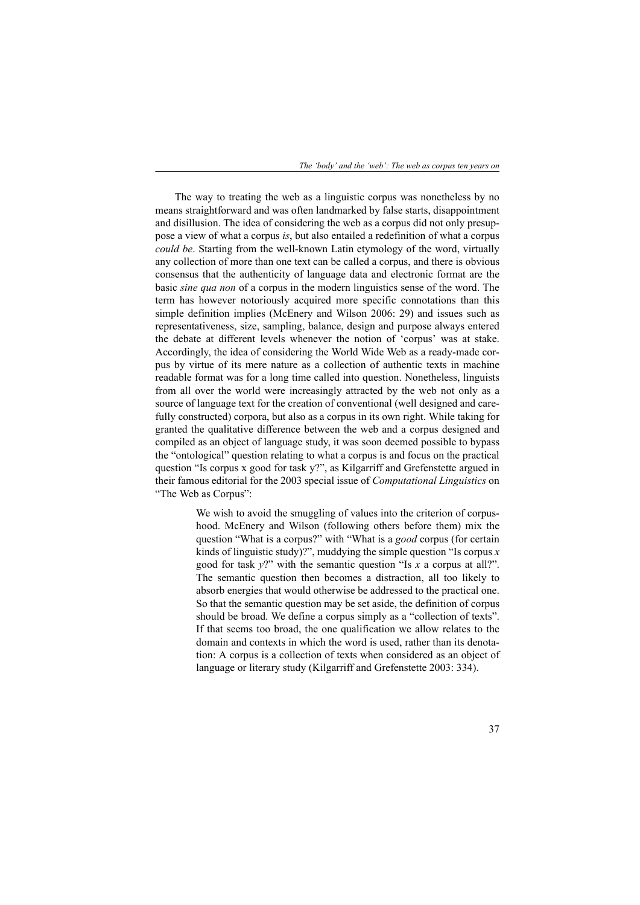*The 'body' and the 'web': The web as corpus ten years on*

The way to treating the web as a linguistic corpus was nonetheless by no means straightforward and was often landmarked by false starts, disappointment and disillusion. The idea of considering the web as a corpus did not only presuppose a view of what a corpus *is*, but also entailed a redefinition of what a corpus *could be*. Starting from the well-known Latin etymology of the word, virtually any collection of more than one text can be called a corpus, and there is obvious consensus that the authenticity of language data and electronic format are the basic *sine qua non* of a corpus in the modern linguistics sense of the word. The term has however notoriously acquired more specific connotations than this simple definition implies (McEnery and Wilson 2006: 29) and issues such as representativeness, size, sampling, balance, design and purpose always entered the debate at different levels whenever the notion of 'corpus' was at stake. Accordingly, the idea of considering the World Wide Web as a ready-made corpus by virtue of its mere nature as a collection of authentic texts in machine readable format was for a long time called into question. Nonetheless, linguists from all over the world were increasingly attracted by the web not only as a source of language text for the creation of conventional (well designed and carefully constructed) corpora, but also as a corpus in its own right. While taking for granted the qualitative difference between the web and a corpus designed and compiled as an object of language study, it was soon deemed possible to bypass the "ontological" question relating to what a corpus is and focus on the practical question "Is corpus x good for task y?", as Kilgarriff and Grefenstette argued in their famous editorial for the 2003 special issue of *Computational Linguistics* on "The Web as Corpus":

> We wish to avoid the smuggling of values into the criterion of corpushood. McEnery and Wilson (following others before them) mix the question "What is a corpus?" with "What is a *good* corpus (for certain kinds of linguistic study)?", muddying the simple question "Is corpus *x* good for task *y*?" with the semantic question "Is *x* a corpus at all?". The semantic question then becomes a distraction, all too likely to absorb energies that would otherwise be addressed to the practical one. So that the semantic question may be set aside, the definition of corpus should be broad. We define a corpus simply as a "collection of texts". If that seems too broad, the one qualification we allow relates to the domain and contexts in which the word is used, rather than its denotation: A corpus is a collection of texts when considered as an object of language or literary study (Kilgarriff and Grefenstette 2003: 334).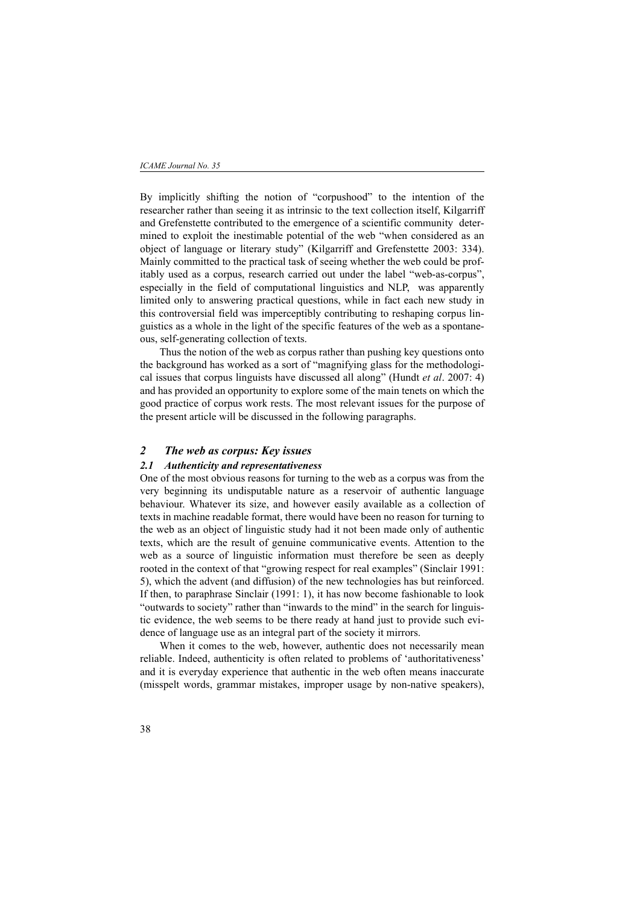By implicitly shifting the notion of "corpushood" to the intention of the researcher rather than seeing it as intrinsic to the text collection itself, Kilgarriff and Grefenstette contributed to the emergence of a scientific community determined to exploit the inestimable potential of the web "when considered as an object of language or literary study" (Kilgarriff and Grefenstette 2003: 334). Mainly committed to the practical task of seeing whether the web could be profitably used as a corpus, research carried out under the label "web-as-corpus", especially in the field of computational linguistics and NLP, was apparently limited only to answering practical questions, while in fact each new study in this controversial field was imperceptibly contributing to reshaping corpus linguistics as a whole in the light of the specific features of the web as a spontaneous, self-generating collection of texts.

Thus the notion of the web as corpus rather than pushing key questions onto the background has worked as a sort of "magnifying glass for the methodological issues that corpus linguists have discussed all along" (Hundt *et al*. 2007: 4) and has provided an opportunity to explore some of the main tenets on which the good practice of corpus work rests. The most relevant issues for the purpose of the present article will be discussed in the following paragraphs.

### *2 The web as corpus: Key issues*

## *2.1 Authenticity and representativeness*

One of the most obvious reasons for turning to the web as a corpus was from the very beginning its undisputable nature as a reservoir of authentic language behaviour. Whatever its size, and however easily available as a collection of texts in machine readable format, there would have been no reason for turning to the web as an object of linguistic study had it not been made only of authentic texts, which are the result of genuine communicative events. Attention to the web as a source of linguistic information must therefore be seen as deeply rooted in the context of that "growing respect for real examples" (Sinclair 1991: 5), which the advent (and diffusion) of the new technologies has but reinforced. If then, to paraphrase Sinclair (1991: 1), it has now become fashionable to look "outwards to society" rather than "inwards to the mind" in the search for linguistic evidence, the web seems to be there ready at hand just to provide such evidence of language use as an integral part of the society it mirrors.

When it comes to the web, however, authentic does not necessarily mean reliable. Indeed, authenticity is often related to problems of 'authoritativeness' and it is everyday experience that authentic in the web often means inaccurate (misspelt words, grammar mistakes, improper usage by non-native speakers),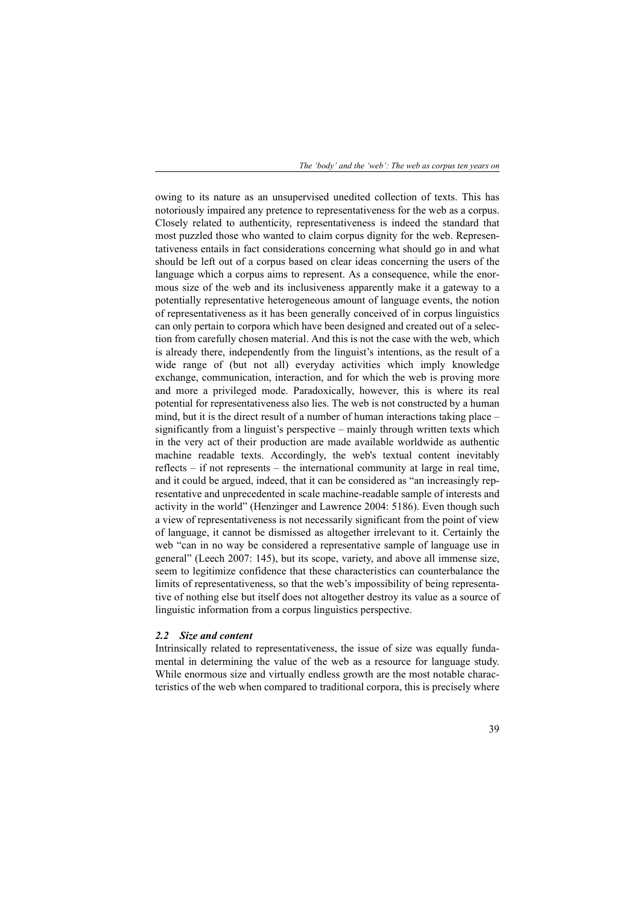owing to its nature as an unsupervised unedited collection of texts. This has notoriously impaired any pretence to representativeness for the web as a corpus. Closely related to authenticity, representativeness is indeed the standard that most puzzled those who wanted to claim corpus dignity for the web. Representativeness entails in fact considerations concerning what should go in and what should be left out of a corpus based on clear ideas concerning the users of the language which a corpus aims to represent. As a consequence, while the enormous size of the web and its inclusiveness apparently make it a gateway to a potentially representative heterogeneous amount of language events, the notion of representativeness as it has been generally conceived of in corpus linguistics can only pertain to corpora which have been designed and created out of a selection from carefully chosen material. And this is not the case with the web, which is already there, independently from the linguist's intentions, as the result of a wide range of (but not all) everyday activities which imply knowledge exchange, communication, interaction, and for which the web is proving more and more a privileged mode. Paradoxically, however, this is where its real potential for representativeness also lies. The web is not constructed by a human mind, but it is the direct result of a number of human interactions taking place – significantly from a linguist's perspective – mainly through written texts which in the very act of their production are made available worldwide as authentic machine readable texts. Accordingly, the web's textual content inevitably reflects – if not represents – the international community at large in real time, and it could be argued, indeed, that it can be considered as "an increasingly representative and unprecedented in scale machine-readable sample of interests and activity in the world" (Henzinger and Lawrence 2004: 5186). Even though such a view of representativeness is not necessarily significant from the point of view of language, it cannot be dismissed as altogether irrelevant to it. Certainly the web "can in no way be considered a representative sample of language use in general" (Leech 2007: 145), but its scope, variety, and above all immense size, seem to legitimize confidence that these characteristics can counterbalance the limits of representativeness, so that the web's impossibility of being representative of nothing else but itself does not altogether destroy its value as a source of linguistic information from a corpus linguistics perspective.

#### *2.2 Size and content*

Intrinsically related to representativeness, the issue of size was equally fundamental in determining the value of the web as a resource for language study. While enormous size and virtually endless growth are the most notable characteristics of the web when compared to traditional corpora, this is precisely where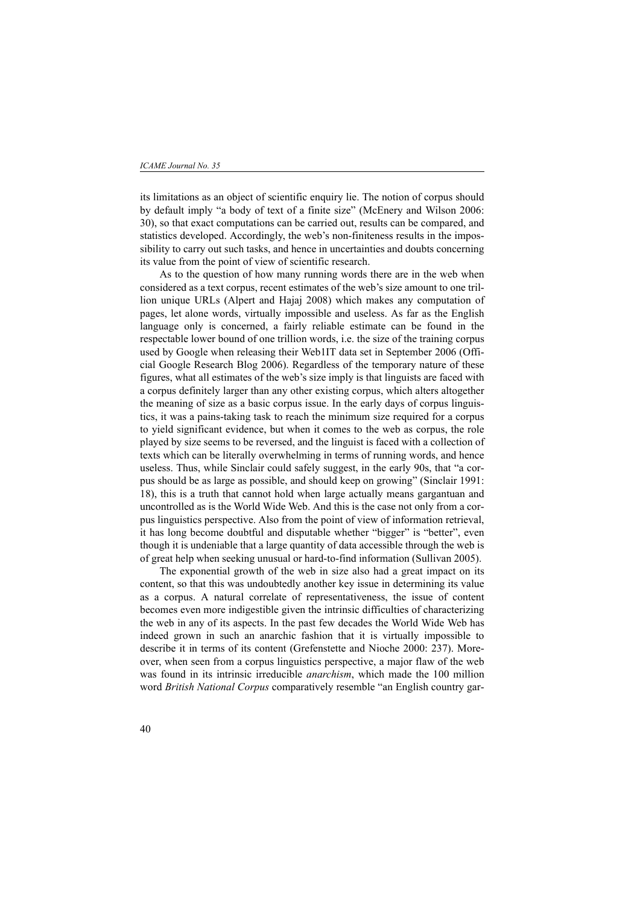#### *ICAME Journal No. 35*

its limitations as an object of scientific enquiry lie. The notion of corpus should by default imply "a body of text of a finite size" (McEnery and Wilson 2006: 30), so that exact computations can be carried out, results can be compared, and statistics developed. Accordingly, the web's non-finiteness results in the impossibility to carry out such tasks, and hence in uncertainties and doubts concerning its value from the point of view of scientific research.

As to the question of how many running words there are in the web when considered as a text corpus, recent estimates of the web's size amount to one trillion unique URLs (Alpert and Hajaj 2008) which makes any computation of pages, let alone words, virtually impossible and useless. As far as the English language only is concerned, a fairly reliable estimate can be found in the respectable lower bound of one trillion words, i.e. the size of the training corpus used by Google when releasing their Web1IT data set in September 2006 (Official Google Research Blog 2006). Regardless of the temporary nature of these figures, what all estimates of the web's size imply is that linguists are faced with a corpus definitely larger than any other existing corpus, which alters altogether the meaning of size as a basic corpus issue. In the early days of corpus linguistics, it was a pains-taking task to reach the minimum size required for a corpus to yield significant evidence, but when it comes to the web as corpus, the role played by size seems to be reversed, and the linguist is faced with a collection of texts which can be literally overwhelming in terms of running words, and hence useless. Thus, while Sinclair could safely suggest, in the early 90s, that "a corpus should be as large as possible, and should keep on growing" (Sinclair 1991: 18), this is a truth that cannot hold when large actually means gargantuan and uncontrolled as is the World Wide Web. And this is the case not only from a corpus linguistics perspective. Also from the point of view of information retrieval, it has long become doubtful and disputable whether "bigger" is "better", even though it is undeniable that a large quantity of data accessible through the web is of great help when seeking unusual or hard-to-find information (Sullivan 2005).

The exponential growth of the web in size also had a great impact on its content, so that this was undoubtedly another key issue in determining its value as a corpus. A natural correlate of representativeness, the issue of content becomes even more indigestible given the intrinsic difficulties of characterizing the web in any of its aspects. In the past few decades the World Wide Web has indeed grown in such an anarchic fashion that it is virtually impossible to describe it in terms of its content (Grefenstette and Nioche 2000: 237). Moreover, when seen from a corpus linguistics perspective, a major flaw of the web was found in its intrinsic irreducible *anarchism*, which made the 100 million word *British National Corpus* comparatively resemble "an English country gar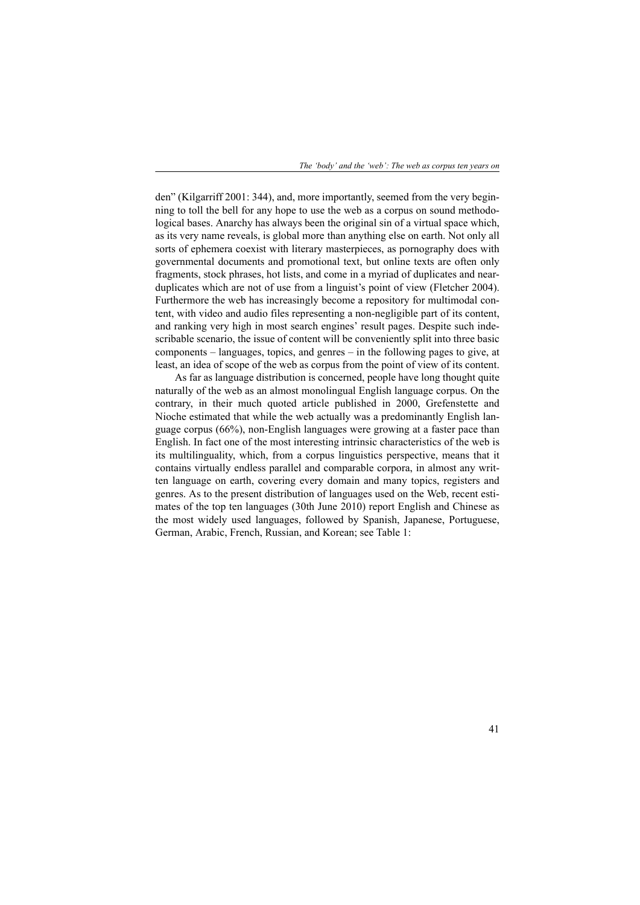den" (Kilgarriff 2001: 344), and, more importantly, seemed from the very beginning to toll the bell for any hope to use the web as a corpus on sound methodological bases. Anarchy has always been the original sin of a virtual space which, as its very name reveals, is global more than anything else on earth. Not only all sorts of ephemera coexist with literary masterpieces, as pornography does with governmental documents and promotional text, but online texts are often only fragments, stock phrases, hot lists, and come in a myriad of duplicates and nearduplicates which are not of use from a linguist's point of view (Fletcher 2004). Furthermore the web has increasingly become a repository for multimodal content, with video and audio files representing a non-negligible part of its content, and ranking very high in most search engines' result pages. Despite such indescribable scenario, the issue of content will be conveniently split into three basic components – languages, topics, and genres – in the following pages to give, at least, an idea of scope of the web as corpus from the point of view of its content.

As far as language distribution is concerned, people have long thought quite naturally of the web as an almost monolingual English language corpus. On the contrary, in their much quoted article published in 2000, Grefenstette and Nioche estimated that while the web actually was a predominantly English language corpus (66%), non-English languages were growing at a faster pace than English. In fact one of the most interesting intrinsic characteristics of the web is its multilinguality, which, from a corpus linguistics perspective, means that it contains virtually endless parallel and comparable corpora, in almost any written language on earth, covering every domain and many topics, registers and genres. As to the present distribution of languages used on the Web, recent estimates of the top ten languages (30th June 2010) report English and Chinese as the most widely used languages, followed by Spanish, Japanese, Portuguese, German, Arabic, French, Russian, and Korean; see Table 1: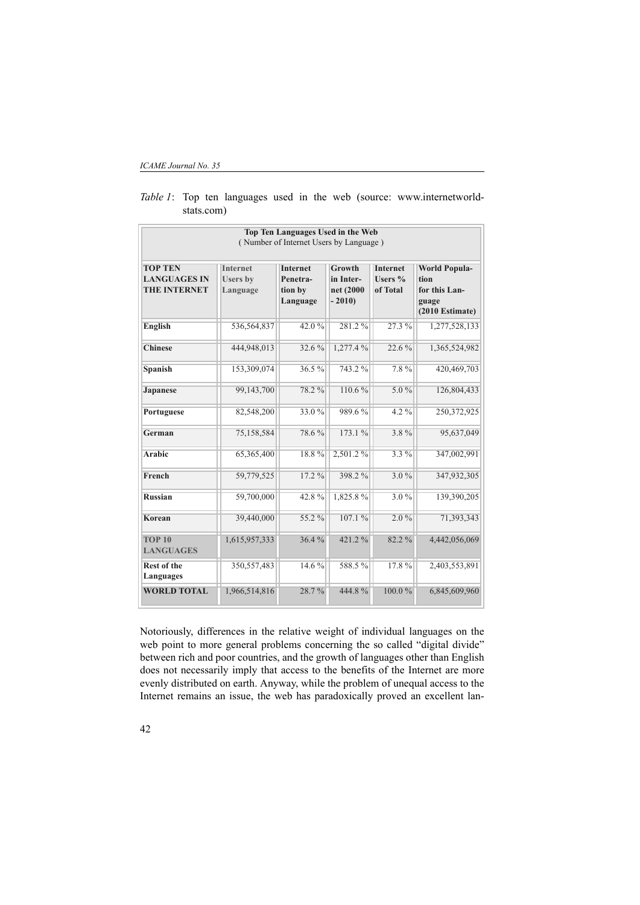*ICAME Journal No. 35*

|                                   |                 | Top Ten Languages Used in the Web      |                      |                 |                        |
|-----------------------------------|-----------------|----------------------------------------|----------------------|-----------------|------------------------|
|                                   |                 | (Number of Internet Users by Language) |                      |                 |                        |
|                                   |                 |                                        |                      |                 |                        |
| <b>TOP TEN</b>                    | <b>Internet</b> | <b>Internet</b>                        | Growth               | <b>Internet</b> | <b>World Popula-</b>   |
| <b>LANGUAGES IN</b>               | <b>Users</b> by | Penetra-                               | in Inter-            | Users $%$       | tion                   |
| <b>THE INTERNET</b>               | Language        | tion by<br>Language                    | net (2000<br>$-2010$ | of Total        | for this Lan-<br>guage |
|                                   |                 |                                        |                      |                 | $(2010)$ Estimate)     |
| <b>English</b>                    | 536,564,837     | 42.0%                                  | 281.2%               | 27.3%           | 1,277,528,133          |
| <b>Chinese</b>                    | 444,948,013     | 32.6%                                  | 1,277.4 %            | 22.6%           | 1,365,524,982          |
| Spanish                           | 153,309,074     | 36.5%                                  | 743.2%               | 7.8%            | 420,469,703            |
| Japanese                          | 99,143,700      | 78.2%                                  | $110.6\%$            | $5.0\%$         | 126,804,433            |
| Portuguese                        | 82,548,200      | 33.0%                                  | 989.6%               | $4.2\%$         | 250,372,925            |
| German                            | 75,158,584      | 78.6%                                  | 173.1 %              | 3.8%            | 95,637,049             |
| Arabic                            | 65,365,400      | 18.8%                                  | 2,501.2%             | $3.3\%$         | 347,002,991            |
| French                            | 59,779,525      | $17.2\%$                               | 398.2%               | $3.0\%$         | 347,932,305            |
| <b>Russian</b>                    | 59,700,000      | 42.8%                                  | 1,825.8%             | 3.0%            | 139,390,205            |
| <b>Korean</b>                     | 39,440,000      | 55.2 %                                 | 107.1%               | $2.0\%$         | 71,393,343             |
| <b>TOP 10</b><br><b>LANGUAGES</b> | 1,615,957,333   | 36.4%                                  | 421.2%               | 82.2%           | 4,442,056,069          |
| <b>Rest of the</b><br>Languages   | 350, 557, 483   | 14.6%                                  | 588.5%               | 17.8%           | 2,403,553,891          |
| <b>WORLD TOTAL</b>                | 1,966,514,816   | 28.7%                                  | 444.8%               | $100.0\%$       | 6,845,609,960          |

*Table 1*: Top ten languages used in the web (source: www.internetworldstats.com)

Notoriously, differences in the relative weight of individual languages on the web point to more general problems concerning the so called "digital divide" between rich and poor countries, and the growth of languages other than English does not necessarily imply that access to the benefits of the Internet are more evenly distributed on earth. Anyway, while the problem of unequal access to the Internet remains an issue, the web has paradoxically proved an excellent lan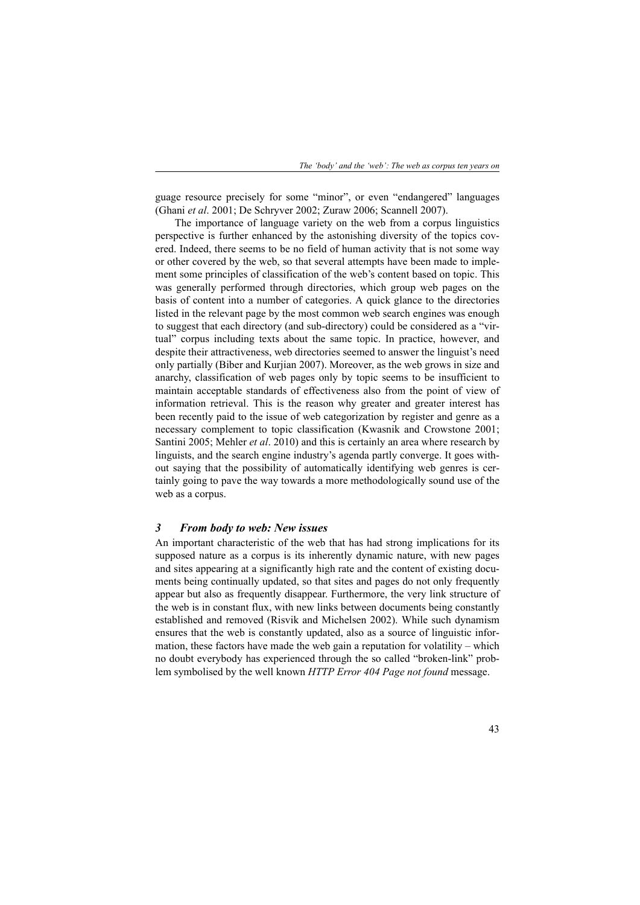guage resource precisely for some "minor", or even "endangered" languages (Ghani *et al*. 2001; De Schryver 2002; Zuraw 2006; Scannell 2007).

The importance of language variety on the web from a corpus linguistics perspective is further enhanced by the astonishing diversity of the topics covered. Indeed, there seems to be no field of human activity that is not some way or other covered by the web, so that several attempts have been made to implement some principles of classification of the web's content based on topic. This was generally performed through directories, which group web pages on the basis of content into a number of categories. A quick glance to the directories listed in the relevant page by the most common web search engines was enough to suggest that each directory (and sub-directory) could be considered as a "virtual" corpus including texts about the same topic. In practice, however, and despite their attractiveness, web directories seemed to answer the linguist's need only partially (Biber and Kurjian 2007). Moreover, as the web grows in size and anarchy, classification of web pages only by topic seems to be insufficient to maintain acceptable standards of effectiveness also from the point of view of information retrieval. This is the reason why greater and greater interest has been recently paid to the issue of web categorization by register and genre as a necessary complement to topic classification (Kwasnik and Crowstone 2001; Santini 2005; Mehler *et al*. 2010) and this is certainly an area where research by linguists, and the search engine industry's agenda partly converge. It goes without saying that the possibility of automatically identifying web genres is certainly going to pave the way towards a more methodologically sound use of the web as a corpus.

## *3 From body to web: New issues*

An important characteristic of the web that has had strong implications for its supposed nature as a corpus is its inherently dynamic nature, with new pages and sites appearing at a significantly high rate and the content of existing documents being continually updated, so that sites and pages do not only frequently appear but also as frequently disappear. Furthermore, the very link structure of the web is in constant flux, with new links between documents being constantly established and removed (Risvik and Michelsen 2002). While such dynamism ensures that the web is constantly updated, also as a source of linguistic information, these factors have made the web gain a reputation for volatility – which no doubt everybody has experienced through the so called "broken-link" problem symbolised by the well known *HTTP Error 404 Page not found* message.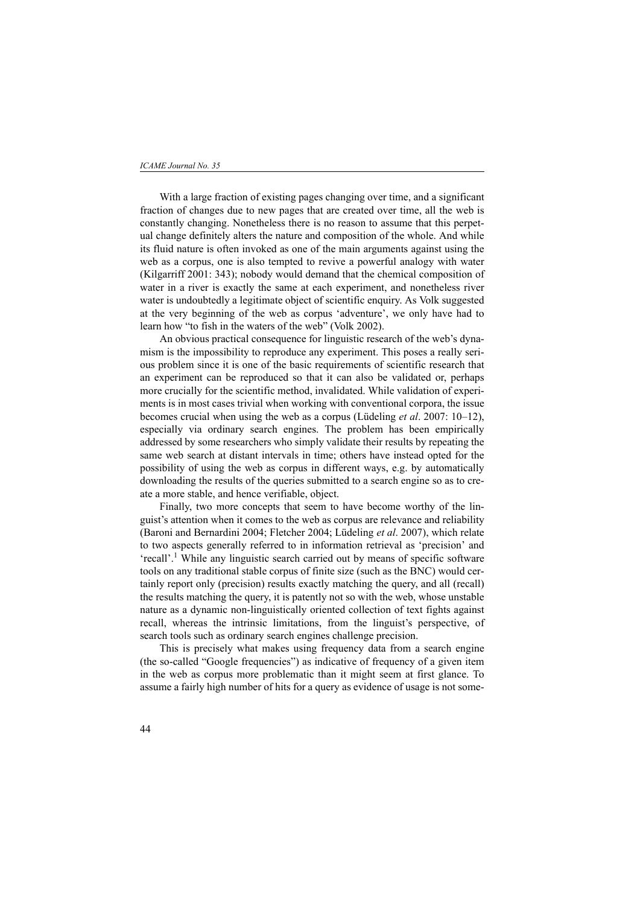#### *ICAME Journal No. 35*

With a large fraction of existing pages changing over time, and a significant fraction of changes due to new pages that are created over time, all the web is constantly changing. Nonetheless there is no reason to assume that this perpetual change definitely alters the nature and composition of the whole. And while its fluid nature is often invoked as one of the main arguments against using the web as a corpus, one is also tempted to revive a powerful analogy with water (Kilgarriff 2001: 343); nobody would demand that the chemical composition of water in a river is exactly the same at each experiment, and nonetheless river water is undoubtedly a legitimate object of scientific enquiry. As Volk suggested at the very beginning of the web as corpus 'adventure', we only have had to learn how "to fish in the waters of the web" (Volk 2002).

An obvious practical consequence for linguistic research of the web's dynamism is the impossibility to reproduce any experiment. This poses a really serious problem since it is one of the basic requirements of scientific research that an experiment can be reproduced so that it can also be validated or, perhaps more crucially for the scientific method, invalidated. While validation of experiments is in most cases trivial when working with conventional corpora, the issue becomes crucial when using the web as a corpus (Lüdeling *et al*. 2007: 10–12), especially via ordinary search engines. The problem has been empirically addressed by some researchers who simply validate their results by repeating the same web search at distant intervals in time; others have instead opted for the possibility of using the web as corpus in different ways, e.g. by automatically downloading the results of the queries submitted to a search engine so as to create a more stable, and hence verifiable, object.

Finally, two more concepts that seem to have become worthy of the linguist's attention when it comes to the web as corpus are relevance and reliability (Baroni and Bernardini 2004; Fletcher 2004; Lüdeling *et al*. 2007), which relate to two aspects generally referred to in information retrieval as 'precision' and 'recall'.<sup>1</sup> While any linguistic search carried out by means of specific software tools on any traditional stable corpus of finite size (such as the BNC) would certainly report only (precision) results exactly matching the query, and all (recall) the results matching the query, it is patently not so with the web, whose unstable nature as a dynamic non-linguistically oriented collection of text fights against recall, whereas the intrinsic limitations, from the linguist's perspective, of search tools such as ordinary search engines challenge precision.

This is precisely what makes using frequency data from a search engine (the so-called "Google frequencies") as indicative of frequency of a given item in the web as corpus more problematic than it might seem at first glance. To assume a fairly high number of hits for a query as evidence of usage is not some-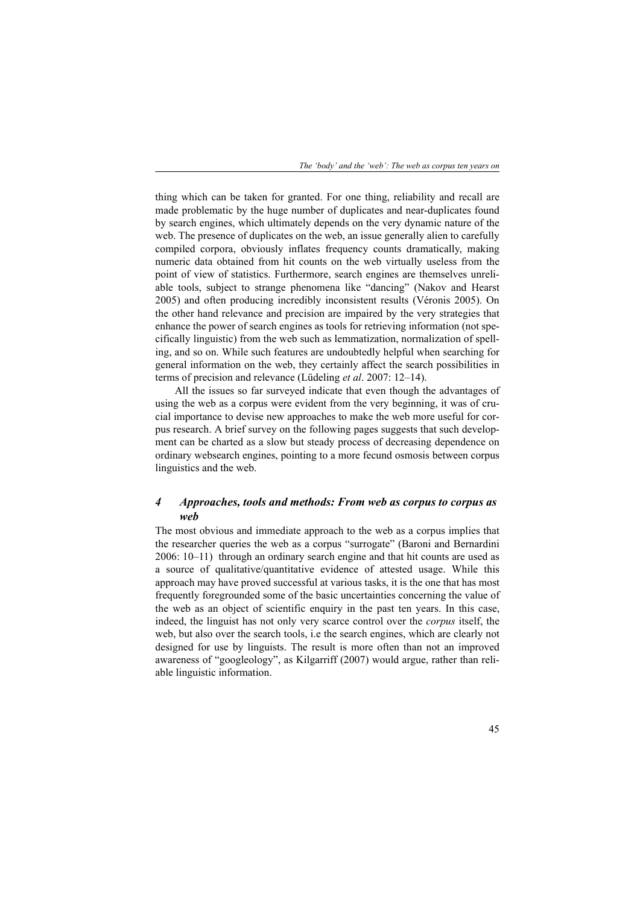thing which can be taken for granted. For one thing, reliability and recall are made problematic by the huge number of duplicates and near-duplicates found by search engines, which ultimately depends on the very dynamic nature of the web. The presence of duplicates on the web, an issue generally alien to carefully compiled corpora, obviously inflates frequency counts dramatically, making numeric data obtained from hit counts on the web virtually useless from the point of view of statistics. Furthermore, search engines are themselves unreliable tools, subject to strange phenomena like "dancing" (Nakov and Hearst 2005) and often producing incredibly inconsistent results (Véronis 2005). On the other hand relevance and precision are impaired by the very strategies that enhance the power of search engines as tools for retrieving information (not specifically linguistic) from the web such as lemmatization, normalization of spelling, and so on. While such features are undoubtedly helpful when searching for general information on the web, they certainly affect the search possibilities in terms of precision and relevance (Lüdeling *et al*. 2007: 12–14).

All the issues so far surveyed indicate that even though the advantages of using the web as a corpus were evident from the very beginning, it was of crucial importance to devise new approaches to make the web more useful for corpus research. A brief survey on the following pages suggests that such development can be charted as a slow but steady process of decreasing dependence on ordinary websearch engines, pointing to a more fecund osmosis between corpus linguistics and the web.

# *4 Approaches, tools and methods: From web as corpus to corpus as web*

The most obvious and immediate approach to the web as a corpus implies that the researcher queries the web as a corpus "surrogate" (Baroni and Bernardini 2006: 10–11) through an ordinary search engine and that hit counts are used as a source of qualitative/quantitative evidence of attested usage. While this approach may have proved successful at various tasks, it is the one that has most frequently foregrounded some of the basic uncertainties concerning the value of the web as an object of scientific enquiry in the past ten years. In this case, indeed, the linguist has not only very scarce control over the *corpus* itself, the web, but also over the search tools, i.e the search engines, which are clearly not designed for use by linguists. The result is more often than not an improved awareness of "googleology", as Kilgarriff (2007) would argue, rather than reliable linguistic information.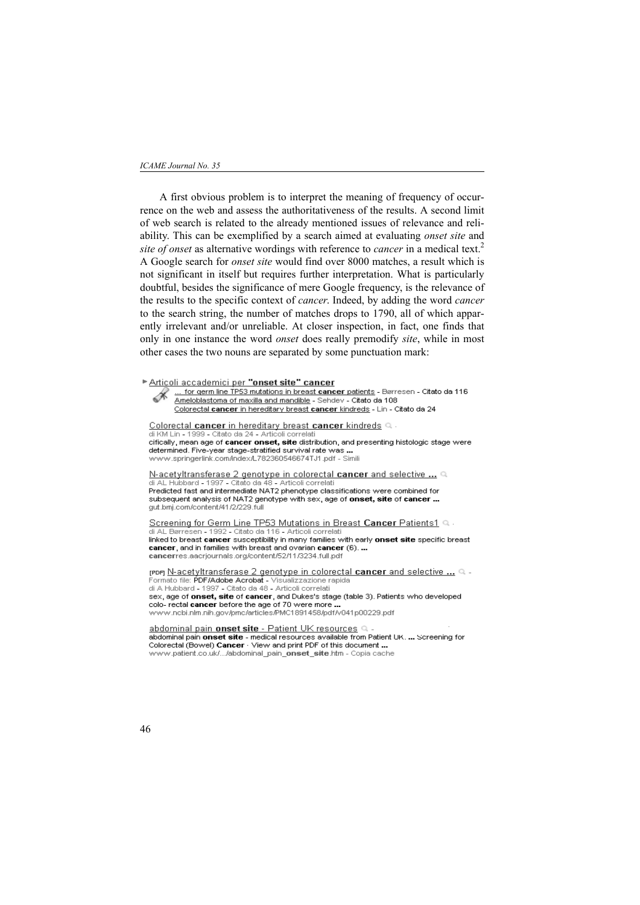## *ICAME Journal No. 35*

A first obvious problem is to interpret the meaning of frequency of occurrence on the web and assess the authoritativeness of the results. A second limit of web search is related to the already mentioned issues of relevance and reliability. This can be exemplified by a search aimed at evaluating *onset site* and *site of onset* as alternative wordings with reference to *cancer* in a medical text.2 A Google search for *onset site* would find over 8000 matches, a result which is not significant in itself but requires further interpretation. What is particularly doubtful, besides the significance of mere Google frequency, is the relevance of the results to the specific context of *cancer*. Indeed, by adding the word *cancer* to the search string, the number of matches drops to 1790, all of which apparently irrelevant and/or unreliable. At closer inspection, in fact, one finds that only in one instance the word *onset* does really premodify *site*, while in most other cases the two nouns are separated by some punctuation mark:

Articoli accademici per "onset site" cancer ... for germ line TP53 mutations in breast cancer patients - Børresen - Citato da 116 R Ameloblastoma of maxilla and mandible - Sehdev - Citato da 108 Colorectal cancer in hereditary breast cancer kindreds - Lin - Citato da 24 Colorectal cancer in hereditary breast cancer kindreds Q<br>di KM Lin - 1999 - Citato da 24 - Articoli correlati cifically, mean age of cancer onset, site distribution, and presenting histologic stage were determined. Five-year stage-stratified survival rate was... www.springerlink.com/index/L782360546674TJ1.pdf - Simili N-acetyltransferase 2 genotype in colorectal cancer and selective ... Q<br>di AL Hubbard - 1997 - Citato da 48 - Articoli correlati<br>Predicted fast and intermediate NAT2 phenotype classifications were combined for subsequent analysis of NAT2 genotype with sex, age of onset, site of cancer ... gut.bmj.com/content/41/2/229.full Screening for Germ Line TP53 Mutations in Breast Cancer Patients1 Q di AL Børresen - 1992 - Citato da 116 - Articoli correlati linked to breast cancer susceptibility in many families with early onset site specific breast cancer, and in families with breast and ovarian cancer (6). ... cancerres.aacriournals.org/content/52/11/3234.full.pdf reper N-acetyltransferase 2 genotype in colorectal cancer and selective ... Q -Formato file: PDF/Adobe Acrobat - Visualizzazione rapida<br>di A Hubbard - 1997 - Citato da 48 - Articoli correlati sex, age of onset, site of cancer, and Dukes's stage (table 3). Patients who developed colo- rectal cancer before the age of 70 were more. abdominal pain onset site - Patient UK resources sessemment pain onset site - medical resources available from Patient UK. ... Screening for<br>Colorectal (Bowel) Cancer - View and print PDF of this document ...

www.patient.co.uk/.../abdominal\_pain\_onset\_site.htm - Copia cache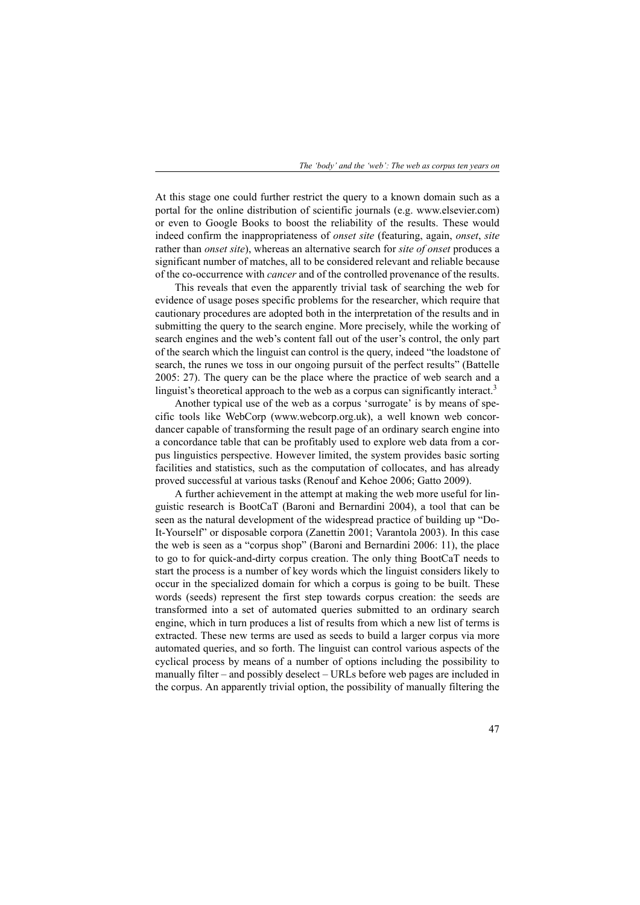At this stage one could further restrict the query to a known domain such as a portal for the online distribution of scientific journals (e.g. www.elsevier.com) or even to Google Books to boost the reliability of the results. These would indeed confirm the inappropriateness of *onset site* (featuring, again, *onset*, *site* rather than *onset site*), whereas an alternative search for *site of onset* produces a significant number of matches, all to be considered relevant and reliable because of the co-occurrence with *cancer* and of the controlled provenance of the results.

This reveals that even the apparently trivial task of searching the web for evidence of usage poses specific problems for the researcher, which require that cautionary procedures are adopted both in the interpretation of the results and in submitting the query to the search engine. More precisely, while the working of search engines and the web's content fall out of the user's control, the only part of the search which the linguist can control is the query, indeed "the loadstone of search, the runes we toss in our ongoing pursuit of the perfect results" (Battelle 2005: 27). The query can be the place where the practice of web search and a linguist's theoretical approach to the web as a corpus can significantly interact.<sup>3</sup>

Another typical use of the web as a corpus 'surrogate' is by means of specific tools like WebCorp (www.webcorp.org.uk), a well known web concordancer capable of transforming the result page of an ordinary search engine into a concordance table that can be profitably used to explore web data from a corpus linguistics perspective. However limited, the system provides basic sorting facilities and statistics, such as the computation of collocates, and has already proved successful at various tasks (Renouf and Kehoe 2006; Gatto 2009).

A further achievement in the attempt at making the web more useful for linguistic research is BootCaT (Baroni and Bernardini 2004), a tool that can be seen as the natural development of the widespread practice of building up "Do-It-Yourself" or disposable corpora (Zanettin 2001; Varantola 2003). In this case the web is seen as a "corpus shop" (Baroni and Bernardini 2006: 11), the place to go to for quick-and-dirty corpus creation. The only thing BootCaT needs to start the process is a number of key words which the linguist considers likely to occur in the specialized domain for which a corpus is going to be built. These words (seeds) represent the first step towards corpus creation: the seeds are transformed into a set of automated queries submitted to an ordinary search engine, which in turn produces a list of results from which a new list of terms is extracted. These new terms are used as seeds to build a larger corpus via more automated queries, and so forth. The linguist can control various aspects of the cyclical process by means of a number of options including the possibility to manually filter – and possibly deselect – URLs before web pages are included in the corpus. An apparently trivial option, the possibility of manually filtering the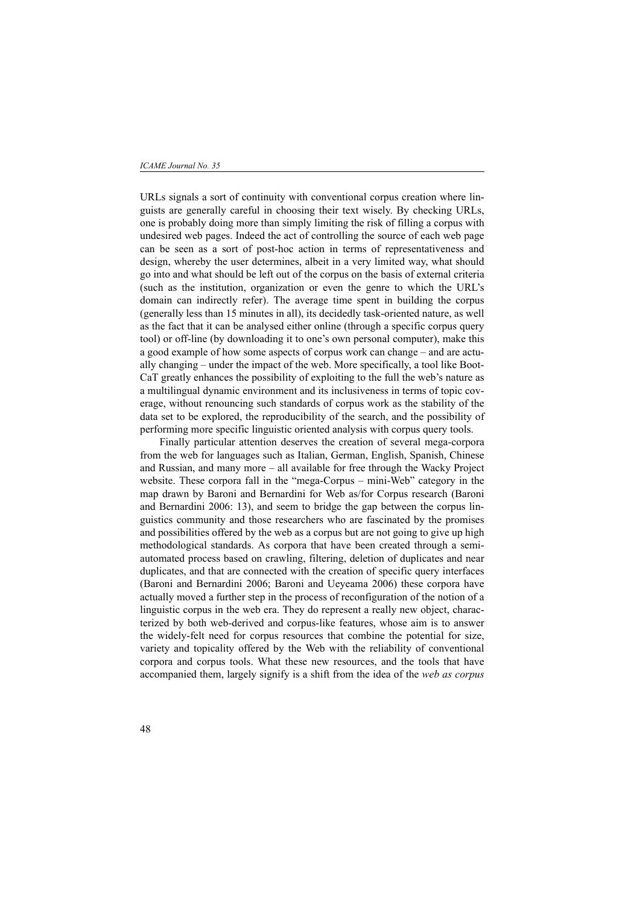#### *ICAME Journal No. 35*

URLs signals a sort of continuity with conventional corpus creation where linguists are generally careful in choosing their text wisely. By checking URLs, one is probably doing more than simply limiting the risk of filling a corpus with undesired web pages. Indeed the act of controlling the source of each web page can be seen as a sort of post-hoc action in terms of representativeness and design, whereby the user determines, albeit in a very limited way, what should go into and what should be left out of the corpus on the basis of external criteria (such as the institution, organization or even the genre to which the URL's domain can indirectly refer). The average time spent in building the corpus (generally less than 15 minutes in all), its decidedly task-oriented nature, as well as the fact that it can be analysed either online (through a specific corpus query tool) or off-line (by downloading it to one's own personal computer), make this a good example of how some aspects of corpus work can change – and are actually changing – under the impact of the web. More specifically, a tool like Boot-CaT greatly enhances the possibility of exploiting to the full the web's nature as a multilingual dynamic environment and its inclusiveness in terms of topic coverage, without renouncing such standards of corpus work as the stability of the data set to be explored, the reproducibility of the search, and the possibility of performing more specific linguistic oriented analysis with corpus query tools.

Finally particular attention deserves the creation of several mega-corpora from the web for languages such as Italian, German, English, Spanish, Chinese and Russian, and many more – all available for free through the Wacky Project website. These corpora fall in the "mega-Corpus – mini-Web" category in the map drawn by Baroni and Bernardini for Web as/for Corpus research (Baroni and Bernardini 2006: 13), and seem to bridge the gap between the corpus linguistics community and those researchers who are fascinated by the promises and possibilities offered by the web as a corpus but are not going to give up high methodological standards. As corpora that have been created through a semiautomated process based on crawling, filtering, deletion of duplicates and near duplicates, and that are connected with the creation of specific query interfaces (Baroni and Bernardini 2006; Baroni and Ueyeama 2006) these corpora have actually moved a further step in the process of reconfiguration of the notion of a linguistic corpus in the web era. They do represent a really new object, characterized by both web-derived and corpus-like features, whose aim is to answer the widely-felt need for corpus resources that combine the potential for size, variety and topicality offered by the Web with the reliability of conventional corpora and corpus tools. What these new resources, and the tools that have accompanied them, largely signify is a shift from the idea of the *web as corpus*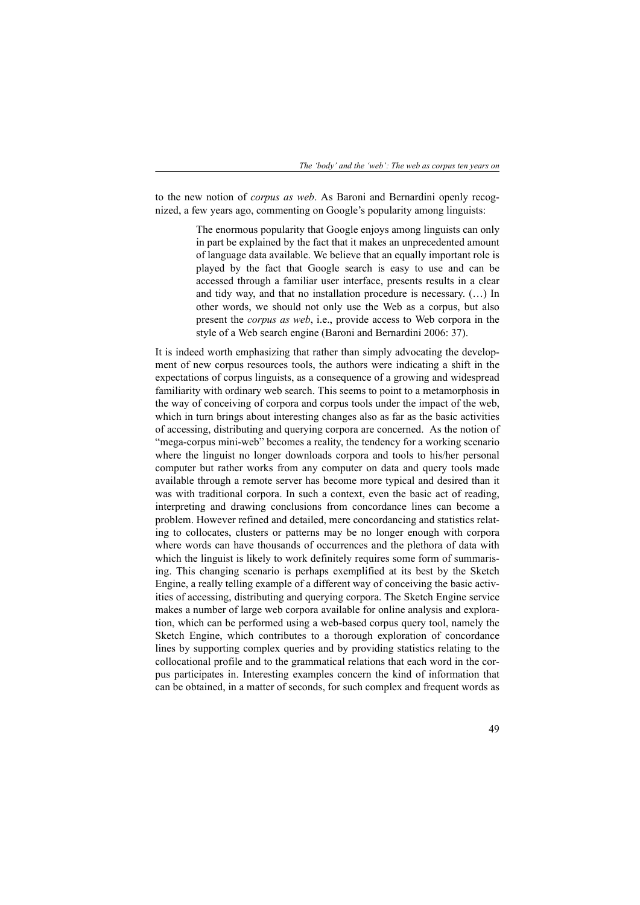to the new notion of *corpus as web*. As Baroni and Bernardini openly recognized, a few years ago, commenting on Google's popularity among linguists:

> The enormous popularity that Google enjoys among linguists can only in part be explained by the fact that it makes an unprecedented amount of language data available. We believe that an equally important role is played by the fact that Google search is easy to use and can be accessed through a familiar user interface, presents results in a clear and tidy way, and that no installation procedure is necessary. (…) In other words, we should not only use the Web as a corpus, but also present the *corpus as web*, i.e., provide access to Web corpora in the style of a Web search engine (Baroni and Bernardini 2006: 37).

It is indeed worth emphasizing that rather than simply advocating the development of new corpus resources tools, the authors were indicating a shift in the expectations of corpus linguists, as a consequence of a growing and widespread familiarity with ordinary web search. This seems to point to a metamorphosis in the way of conceiving of corpora and corpus tools under the impact of the web, which in turn brings about interesting changes also as far as the basic activities of accessing, distributing and querying corpora are concerned. As the notion of "mega-corpus mini-web" becomes a reality, the tendency for a working scenario where the linguist no longer downloads corpora and tools to his/her personal computer but rather works from any computer on data and query tools made available through a remote server has become more typical and desired than it was with traditional corpora. In such a context, even the basic act of reading, interpreting and drawing conclusions from concordance lines can become a problem. However refined and detailed, mere concordancing and statistics relating to collocates, clusters or patterns may be no longer enough with corpora where words can have thousands of occurrences and the plethora of data with which the linguist is likely to work definitely requires some form of summarising. This changing scenario is perhaps exemplified at its best by the Sketch Engine, a really telling example of a different way of conceiving the basic activities of accessing, distributing and querying corpora. The Sketch Engine service makes a number of large web corpora available for online analysis and exploration, which can be performed using a web-based corpus query tool, namely the Sketch Engine, which contributes to a thorough exploration of concordance lines by supporting complex queries and by providing statistics relating to the collocational profile and to the grammatical relations that each word in the corpus participates in. Interesting examples concern the kind of information that can be obtained, in a matter of seconds, for such complex and frequent words as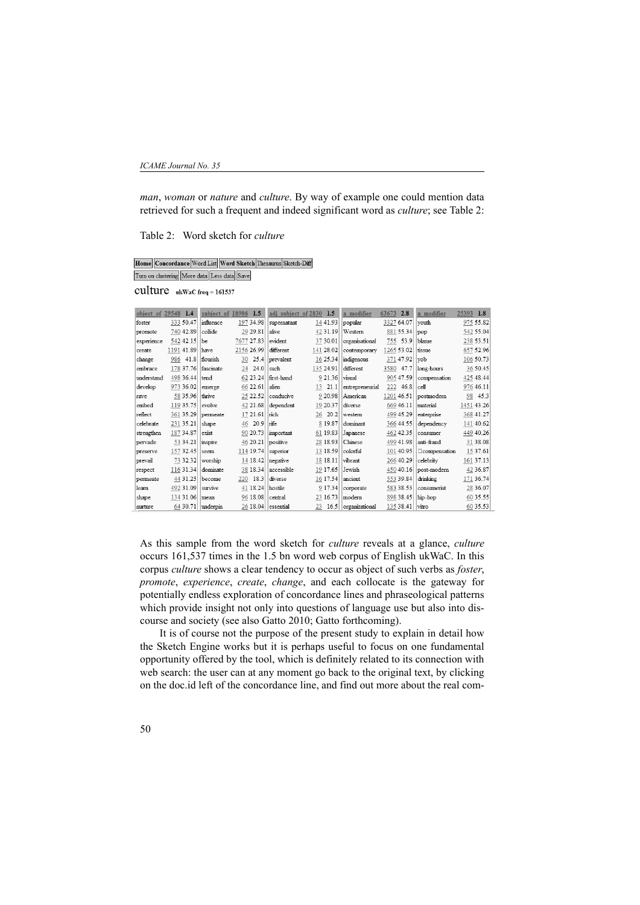*man*, *woman* or *nature* and *culture*. By way of example one could mention data retrieved for such a frequent and indeed significant word as *culture*; see Table 2:

Table 2: Word sketch for *culture*

|                                             |  |  |  | Home    Concordance    Word List    Word Sketch    Thesaurus    Sketch-Diff |
|---------------------------------------------|--|--|--|-----------------------------------------------------------------------------|
| Turn on clustering More data Less data Save |  |  |  |                                                                             |

CUlture ukWaC freq = 161537

ľ

| object of 29548 | 1.4        |      | subject of 18986 | 1.5        |      | adj subject of 2830 |    | 1.5       | a modifier      | 63673      | 2.8             | n modifier            | 25393 | 1.8        |
|-----------------|------------|------|------------------|------------|------|---------------------|----|-----------|-----------------|------------|-----------------|-----------------------|-------|------------|
| foster          | 333 50.47  |      | influence        | 197 34.98  |      | supernatant         |    | 14 41.93  | popular         | 3327 64.07 |                 | vouth                 |       | 975 55.82  |
| promote         | 740 42.89  |      | collide          | 29 29 81   |      | alive               |    | 42 31 19  | Western         | 881 55.34  |                 | pop                   |       | 542 55.04  |
| experience      | 542 42.15  |      | be               | 7677 27.83 |      | evident             |    | 37 30.01  | organisational  | 755 53.9   |                 | blame.                |       | 238 53.51  |
| create          | 1191 41.89 |      | have             | 2156 26.99 |      | different           |    | 141 28.02 | contemporary    | 1265 53.02 |                 | tissue                |       | 657 52.96  |
| change          | 986        | 41.8 | flourish         | 30         | 25.4 | prevalent           |    | 16 25 34  | indigenous      |            | 371 47.92       | vob                   |       | 106 50.73  |
| embrace         | 178 37.76  |      | fascinate        | 24.0<br>24 |      | such                |    | 135 24.91 | different       | 3580       | 47.7            | long-hours            |       | 36 50.45   |
| understand      | 498 36.44  |      | tend             | 62 23 24   |      | first-hand          |    | 9 21.36   | visual          |            | 905 47.59       | compensation          |       | 425 48.44  |
| develop         | 973 36.02  |      | emerge           | 66 22.61   |      | alien               | 13 | 21.1      | entrepreneurial | 222        | 46.8            | cell                  |       | 976 46.11  |
| rave            | 58 35.96   |      | thrive           | 25 22.52   |      | conducive           |    | 9 20.98   | American        | 1201 46.51 |                 | postmodern            | 98    | 45.3       |
| embed           | 119 35.75  |      | evolve           | 42 21.68   |      | dependent           |    | 19 20.37  | diverse         | 669 46.11  |                 | material              |       | 1451 43.26 |
| reflect         | 361 35.29  |      | permeate         | 17 21.61   |      | rich                | 26 | 20.2      | western         | 499 45.29  |                 | enterprise            |       | 368 41.27  |
| celebrate       | 231 35.21  |      | shape            | 20.9<br>46 | rife |                     |    | 8 19.87   | dominant        |            | 366 44.55       | dependency            |       | 141 40.62  |
| strengthen      | 187 34.87  |      | exist            | 90 20.73   |      | important           |    | 61 19.83  | Japanese        | 462 42.35  |                 | consumer              |       | 449 40.26  |
| pervade         | 53 34.21   |      | inspire          | 46 20.21   |      | positive            |    | 28 18.93  | Chinese         |            | 499 41.98       | anti-fraud            |       | 31 38.08   |
| preserve        | 157 32.45  |      | seem             | 114 19.74  |      | superior            |    | 13 18.59  | colorful        |            | 101 40.95       | <b>D</b> compensation |       | 15 37.61   |
| prevail         | 73 32.32   |      | worship          | 14 18.42   |      | negative            |    | 18 18 11  | vibrant         | 266 40.29  |                 | celebrity             |       | 161 37.13  |
| respect         | 116 31.34  |      | dominate         | 38 18.34   |      | accessible          |    | 19 17.65  | Jewish          |            | 450 40.16       | post-modern           |       | 42 36.87   |
| permeate        | 44 31.25   |      | become           | 220        | 18.3 | diverse             |    | 16 17.54  | ancient         |            | 553 39.84       | drinking              |       | 171 36.74  |
| learn           | 492 31.09  |      | survive          | 41 18.24   |      | hostile             |    | 9 17.34   | corporate       |            | 583 38.53       | consumerist           |       | 28 36.07   |
| shape           | 134 31.06  |      | mean             | 96 18.08   |      | central             |    | 23 16.73  | modern          |            | 898 38.45       | hip-hop               |       | 60 35.55   |
| nurture         | 64 30.71   |      | lunderpin        | 26 18.04   |      | essential           | 23 | 16.5      | organizational  |            | 135 38.41 vitro |                       |       | 60 35.53   |

As this sample from the word sketch for *culture* reveals at a glance, *culture* occurs 161,537 times in the 1.5 bn word web corpus of English ukWaC. In this corpus *culture* shows a clear tendency to occur as object of such verbs as *foster*, *promote*, *experience*, *create*, *change*, and each collocate is the gateway for potentially endless exploration of concordance lines and phraseological patterns which provide insight not only into questions of language use but also into discourse and society (see also Gatto 2010; Gatto forthcoming).

 It is of course not the purpose of the present study to explain in detail how the Sketch Engine works but it is perhaps useful to focus on one fundamental opportunity offered by the tool, which is definitely related to its connection with web search: the user can at any moment go back to the original text, by clicking on the doc.id left of the concordance line, and find out more about the real com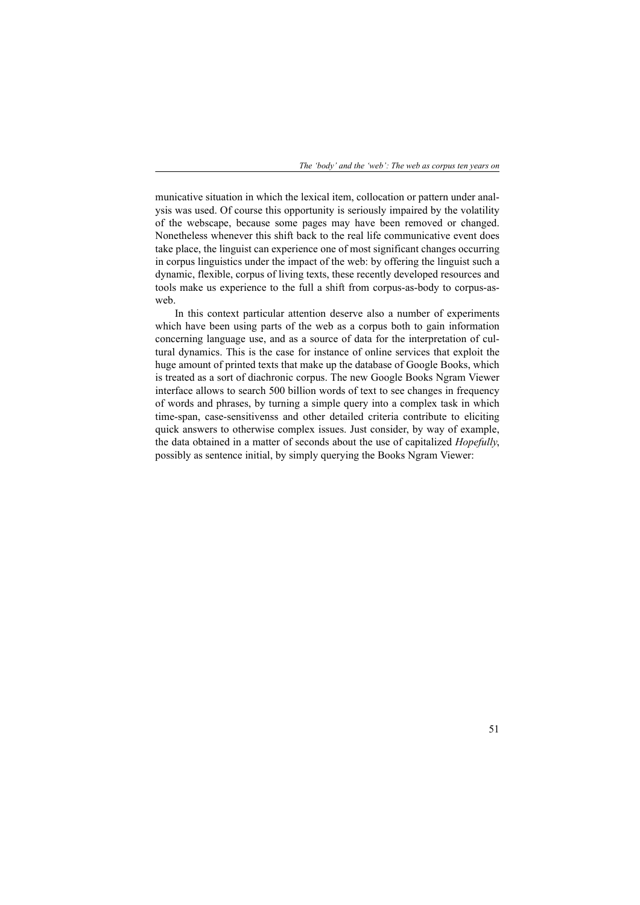municative situation in which the lexical item, collocation or pattern under analysis was used. Of course this opportunity is seriously impaired by the volatility of the webscape, because some pages may have been removed or changed. Nonetheless whenever this shift back to the real life communicative event does take place, the linguist can experience one of most significant changes occurring in corpus linguistics under the impact of the web: by offering the linguist such a dynamic, flexible, corpus of living texts, these recently developed resources and tools make us experience to the full a shift from corpus-as-body to corpus-asweb.

In this context particular attention deserve also a number of experiments which have been using parts of the web as a corpus both to gain information concerning language use, and as a source of data for the interpretation of cultural dynamics. This is the case for instance of online services that exploit the huge amount of printed texts that make up the database of Google Books, which is treated as a sort of diachronic corpus. The new Google Books Ngram Viewer interface allows to search 500 billion words of text to see changes in frequency of words and phrases, by turning a simple query into a complex task in which time-span, case-sensitivenss and other detailed criteria contribute to eliciting quick answers to otherwise complex issues. Just consider, by way of example, the data obtained in a matter of seconds about the use of capitalized *Hopefully*, possibly as sentence initial, by simply querying the Books Ngram Viewer: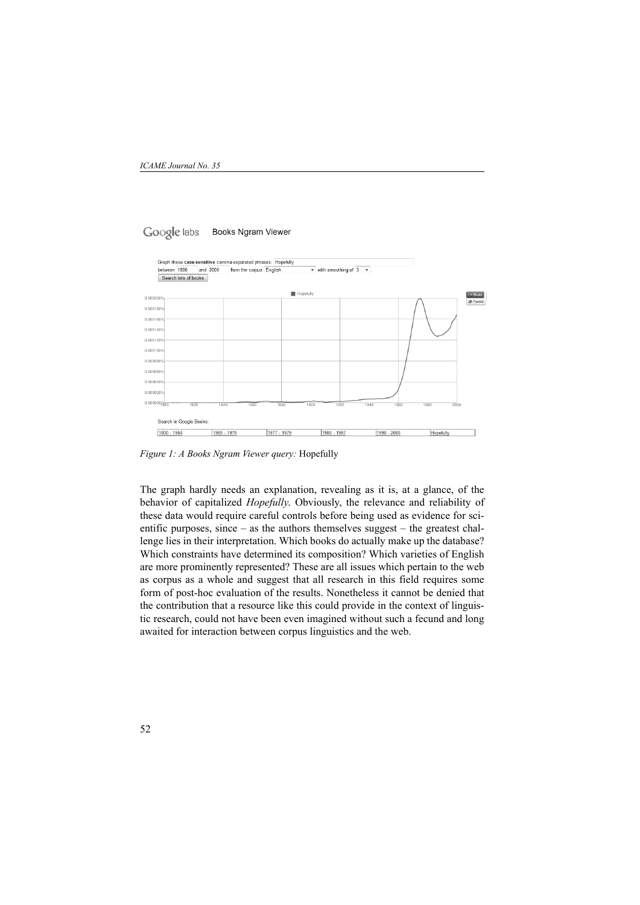#### Google labs **Books Ngram Viewer**

| between 1800                       |                      | and 2000 | from the corpus English |      |           | $\blacktriangleright$ with smoothing of 3 $\blacktriangleright$ . |      |      |      |                 |
|------------------------------------|----------------------|----------|-------------------------|------|-----------|-------------------------------------------------------------------|------|------|------|-----------------|
|                                    | Search lots of books |          |                         |      |           |                                                                   |      |      |      |                 |
|                                    |                      |          |                         |      | Hopefully |                                                                   |      |      |      | 64 Buzz         |
| 0.000200%                          |                      |          |                         |      |           |                                                                   |      |      |      | <b>M</b> -Tweet |
| 0.000180%                          |                      |          |                         |      |           |                                                                   |      |      |      |                 |
| 0.000160%                          |                      |          |                         |      |           |                                                                   |      |      |      |                 |
|                                    |                      |          |                         |      |           |                                                                   |      |      |      |                 |
| 0.000140%                          |                      |          |                         |      |           |                                                                   |      |      |      |                 |
| 0.000120%                          |                      |          |                         |      |           |                                                                   |      |      |      |                 |
| 0.000100%                          |                      |          |                         |      |           |                                                                   |      |      |      |                 |
| 0.000080%                          |                      |          |                         |      |           |                                                                   |      |      |      |                 |
| 0.000060%                          |                      |          |                         |      |           |                                                                   |      |      |      |                 |
|                                    |                      |          |                         |      |           |                                                                   |      |      |      |                 |
| 0.000040%                          |                      |          |                         |      |           |                                                                   |      |      |      |                 |
| 0.000020%                          |                      |          |                         |      |           |                                                                   |      |      |      |                 |
| $0.000000\sqrt[6]{\frac{1}{1800}}$ | 1820                 | 1840     | 1860                    | 1880 | 1900      | 1920                                                              | 1940 | 1960 | 1980 | 2000            |
|                                    |                      |          |                         |      |           |                                                                   |      |      |      |                 |
| Search in Google Books:            |                      |          |                         |      |           |                                                                   |      |      |      |                 |
|                                    |                      |          |                         |      |           |                                                                   |      |      |      |                 |

*Figure 1: A Books Ngram Viewer query:* Hopefully

The graph hardly needs an explanation, revealing as it is, at a glance, of the behavior of capitalized *Hopefully*. Obviously, the relevance and reliability of these data would require careful controls before being used as evidence for scientific purposes, since – as the authors themselves suggest – the greatest challenge lies in their interpretation. Which books do actually make up the database? Which constraints have determined its composition? Which varieties of English are more prominently represented? These are all issues which pertain to the web as corpus as a whole and suggest that all research in this field requires some form of post-hoc evaluation of the results. Nonetheless it cannot be denied that the contribution that a resource like this could provide in the context of linguistic research, could not have been even imagined without such a fecund and long awaited for interaction between corpus linguistics and the web.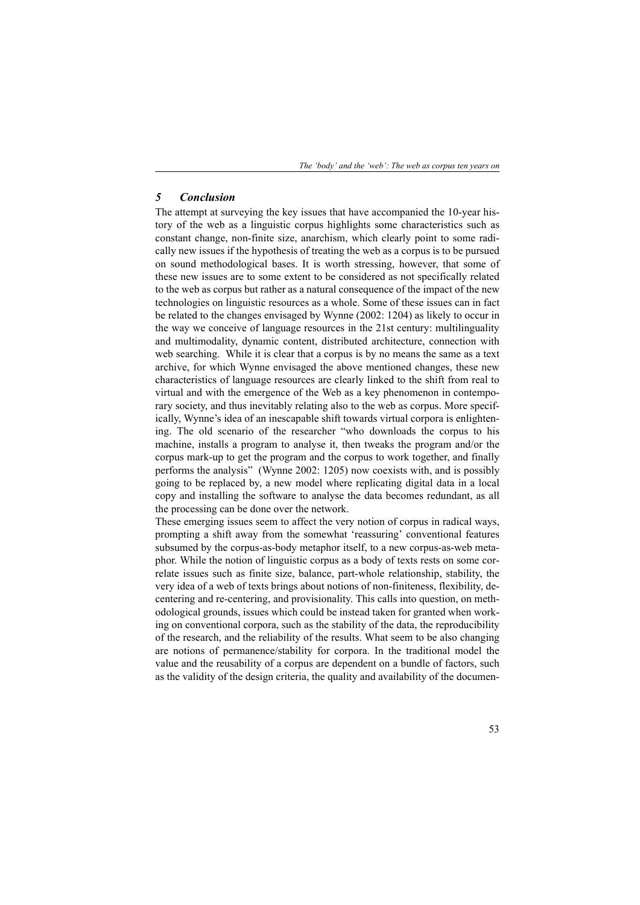*The 'body' and the 'web': The web as corpus ten years on*

## *5 Conclusion*

The attempt at surveying the key issues that have accompanied the 10-year history of the web as a linguistic corpus highlights some characteristics such as constant change, non-finite size, anarchism, which clearly point to some radically new issues if the hypothesis of treating the web as a corpus is to be pursued on sound methodological bases. It is worth stressing, however, that some of these new issues are to some extent to be considered as not specifically related to the web as corpus but rather as a natural consequence of the impact of the new technologies on linguistic resources as a whole. Some of these issues can in fact be related to the changes envisaged by Wynne (2002: 1204) as likely to occur in the way we conceive of language resources in the 21st century: multilinguality and multimodality, dynamic content, distributed architecture, connection with web searching. While it is clear that a corpus is by no means the same as a text archive, for which Wynne envisaged the above mentioned changes, these new characteristics of language resources are clearly linked to the shift from real to virtual and with the emergence of the Web as a key phenomenon in contemporary society, and thus inevitably relating also to the web as corpus. More specifically, Wynne's idea of an inescapable shift towards virtual corpora is enlightening. The old scenario of the researcher "who downloads the corpus to his machine, installs a program to analyse it, then tweaks the program and/or the corpus mark-up to get the program and the corpus to work together, and finally performs the analysis" (Wynne 2002: 1205) now coexists with, and is possibly going to be replaced by, a new model where replicating digital data in a local copy and installing the software to analyse the data becomes redundant, as all the processing can be done over the network.

These emerging issues seem to affect the very notion of corpus in radical ways, prompting a shift away from the somewhat 'reassuring' conventional features subsumed by the corpus-as-body metaphor itself, to a new corpus-as-web metaphor. While the notion of linguistic corpus as a body of texts rests on some correlate issues such as finite size, balance, part-whole relationship, stability, the very idea of a web of texts brings about notions of non-finiteness, flexibility, decentering and re-centering, and provisionality. This calls into question, on methodological grounds, issues which could be instead taken for granted when working on conventional corpora, such as the stability of the data, the reproducibility of the research, and the reliability of the results. What seem to be also changing are notions of permanence/stability for corpora. In the traditional model the value and the reusability of a corpus are dependent on a bundle of factors, such as the validity of the design criteria, the quality and availability of the documen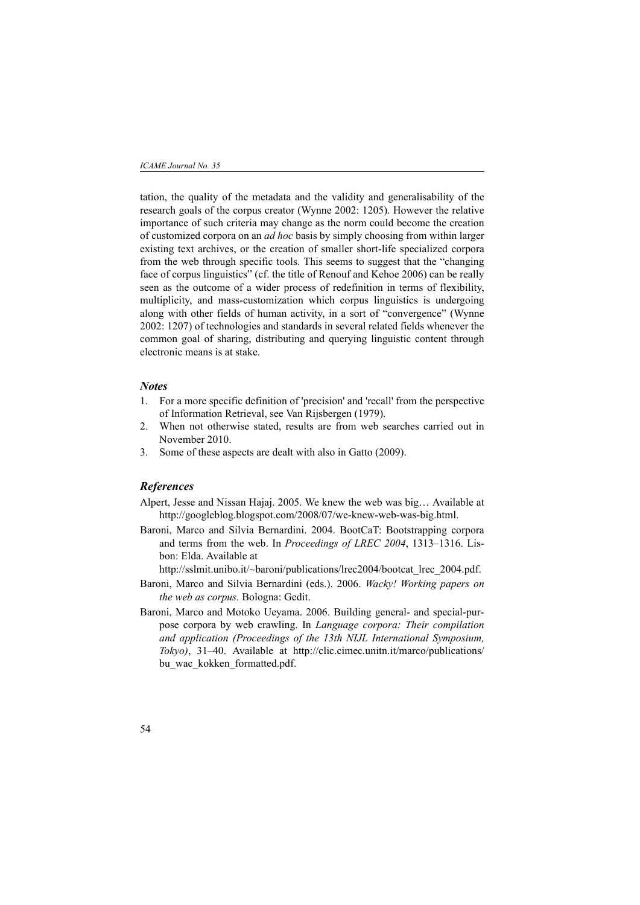tation, the quality of the metadata and the validity and generalisability of the research goals of the corpus creator (Wynne 2002: 1205). However the relative importance of such criteria may change as the norm could become the creation of customized corpora on an *ad hoc* basis by simply choosing from within larger existing text archives, or the creation of smaller short-life specialized corpora from the web through specific tools. This seems to suggest that the "changing face of corpus linguistics" (cf. the title of Renouf and Kehoe 2006) can be really seen as the outcome of a wider process of redefinition in terms of flexibility, multiplicity, and mass-customization which corpus linguistics is undergoing along with other fields of human activity, in a sort of "convergence" (Wynne 2002: 1207) of technologies and standards in several related fields whenever the common goal of sharing, distributing and querying linguistic content through electronic means is at stake.

## *Notes*

- 1. For a more specific definition of 'precision' and 'recall' from the perspective of Information Retrieval, see Van Rijsbergen (1979).
- 2. When not otherwise stated, results are from web searches carried out in November 2010.
- 3. Some of these aspects are dealt with also in Gatto (2009).

# *References*

- Alpert, Jesse and Nissan Hajaj. 2005. We knew the web was big… Available at http://googleblog.blogspot.com/2008/07/we-knew-web-was-big.html.
- Baroni, Marco and Silvia Bernardini. 2004. BootCaT: Bootstrapping corpora and terms from the web. In *Proceedings of LREC 2004*, 1313–1316. Lisbon: Elda. Available at

http://sslmit.unibo.it/~baroni/publications/lrec2004/bootcat\_lrec\_2004.pdf.

- Baroni, Marco and Silvia Bernardini (eds.). 2006. *Wacky! Working papers on the web as corpus.* Bologna: Gedit.
- Baroni, Marco and Motoko Ueyama. 2006. Building general- and special-purpose corpora by web crawling. In *Language corpora: Their compilation and application (Proceedings of the 13th NIJL International Symposium, Tokyo)*, 31–40. Available at http://clic.cimec.unitn.it/marco/publications/ bu\_wac\_kokken\_formatted.pdf.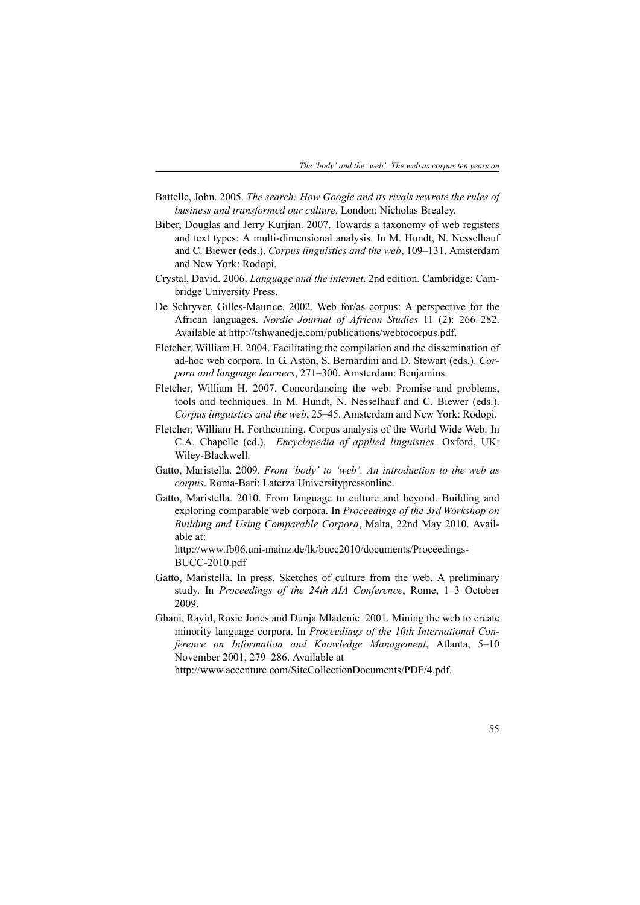- Battelle, John. 2005. *The search: How Google and its rivals rewrote the rules of business and transformed our culture*. London: Nicholas Brealey.
- Biber, Douglas and Jerry Kurjian. 2007. Towards a taxonomy of web registers and text types: A multi-dimensional analysis. In M. Hundt, N. Nesselhauf and C. Biewer (eds.). *Corpus linguistics and the web*, 109–131. Amsterdam and New York: Rodopi.
- Crystal, David. 2006. *Language and the internet*. 2nd edition. Cambridge: Cambridge University Press.
- De Schryver, Gilles-Maurice. 2002. Web for/as corpus: A perspective for the African languages. *Nordic Journal of African Studies* 11 (2): 266–282. Available at http://tshwanedje.com/publications/webtocorpus.pdf.
- Fletcher, William H. 2004. Facilitating the compilation and the dissemination of ad-hoc web corpora. In G. Aston, S. Bernardini and D. Stewart (eds.). *Corpora and language learners*, 271–300. Amsterdam: Benjamins.
- Fletcher, William H. 2007. Concordancing the web. Promise and problems, tools and techniques. In M. Hundt, N. Nesselhauf and C. Biewer (eds.). *Corpus linguistics and the web*, 25–45. Amsterdam and New York: Rodopi.
- Fletcher, William H. Forthcoming. Corpus analysis of the World Wide Web. In C.A. Chapelle (ed.). *Encyclopedia of applied linguistics*. Oxford, UK: Wiley-Blackwell.
- Gatto, Maristella. 2009. *From 'body' to 'web'. An introduction to the web as corpus*. Roma-Bari: Laterza Universitypressonline.
- Gatto, Maristella. 2010. From language to culture and beyond. Building and exploring comparable web corpora. In *Proceedings of the 3rd Workshop on Building and Using Comparable Corpora*, Malta, 22nd May 2010. Available at:

http://www.fb06.uni-mainz.de/lk/bucc2010/documents/Proceedings-BUCC-2010.pdf

- Gatto, Maristella. In press. Sketches of culture from the web. A preliminary study. In *Proceedings of the 24th AIA Conference*, Rome, 1–3 October 2009.
- Ghani, Rayid, Rosie Jones and Dunja Mladenic. 2001. Mining the web to create minority language corpora. In *Proceedings of the 10th International Conference on Information and Knowledge Management*, Atlanta, 5–10 November 2001, 279–286. Available at

http://www.accenture.com/SiteCollectionDocuments/PDF/4.pdf.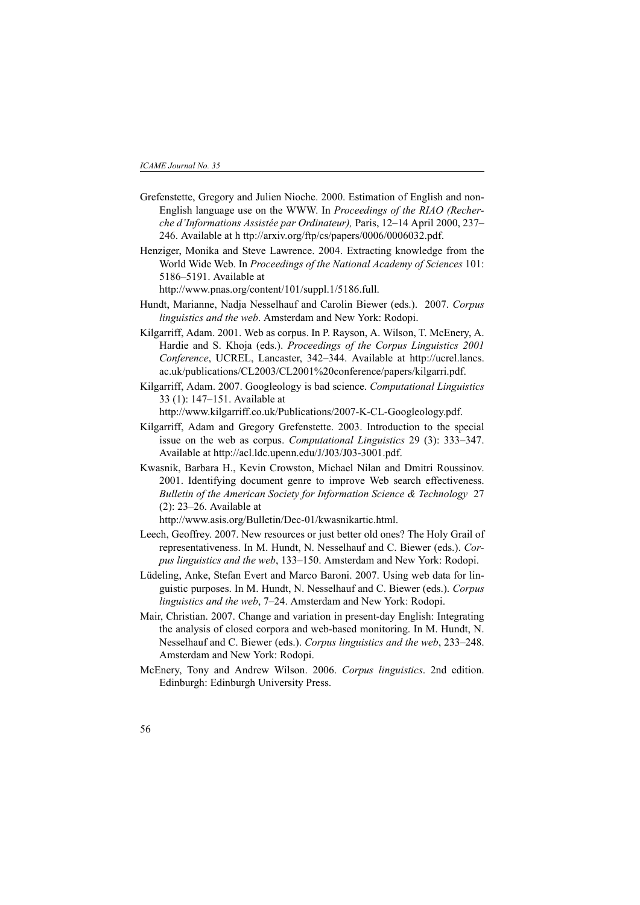- Grefenstette, Gregory and Julien Nioche. 2000. Estimation of English and non-English language use on the WWW. In *Proceedings of the RIAO (Recherche d'Informations Assistée par Ordinateur),* Paris, 12–14 April 2000, 237– 246. Available at h ttp://arxiv.org/ftp/cs/papers/0006/0006032.pdf.
- Henziger, Monika and Steve Lawrence. 2004. Extracting knowledge from the World Wide Web. In *Proceedings of the National Academy of Sciences* 101: 5186–5191. Available at

http://www.pnas.org/content/101/suppl.1/5186.full.

- Hundt, Marianne, Nadja Nesselhauf and Carolin Biewer (eds.). 2007. *Corpus linguistics and the web*. Amsterdam and New York: Rodopi.
- Kilgarriff, Adam. 2001. Web as corpus. In P. Rayson, A. Wilson, T. McEnery, A. Hardie and S. Khoja (eds.). *Proceedings of the Corpus Linguistics 2001 Conference*, UCREL, Lancaster, 342–344. Available at http://ucrel.lancs. ac.uk/publications/CL2003/CL2001%20conference/papers/kilgarri.pdf.
- Kilgarriff, Adam. 2007. Googleology is bad science. *Computational Linguistics* 33 (1): 147–151. Available at

http://www.kilgarriff.co.uk/Publications/2007-K-CL-Googleology.pdf.

- Kilgarriff, Adam and Gregory Grefenstette. 2003. Introduction to the special issue on the web as corpus. *Computational Linguistics* 29 (3): 333–347. Available at http://acl.ldc.upenn.edu/J/J03/J03-3001.pdf.
- Kwasnik, Barbara H., Kevin Crowston, Michael Nilan and Dmitri Roussinov. 2001. Identifying document genre to improve Web search effectiveness. *Bulletin of the American Society for Information Science & Technology* 27 (2): 23–26. Available at

http://www.asis.org/Bulletin/Dec-01/kwasnikartic.html.

- Leech, Geoffrey. 2007. New resources or just better old ones? The Holy Grail of representativeness. In M. Hundt, N. Nesselhauf and C. Biewer (eds.). *Corpus linguistics and the web*, 133–150. Amsterdam and New York: Rodopi.
- Lüdeling, Anke, Stefan Evert and Marco Baroni. 2007. Using web data for linguistic purposes. In M. Hundt, N. Nesselhauf and C. Biewer (eds.). *Corpus linguistics and the web*, 7–24. Amsterdam and New York: Rodopi.
- Mair, Christian. 2007. Change and variation in present-day English: Integrating the analysis of closed corpora and web-based monitoring. In M. Hundt, N. Nesselhauf and C. Biewer (eds.). *Corpus linguistics and the web*, 233–248. Amsterdam and New York: Rodopi.
- McEnery, Tony and Andrew Wilson. 2006. *Corpus linguistics*. 2nd edition. Edinburgh: Edinburgh University Press.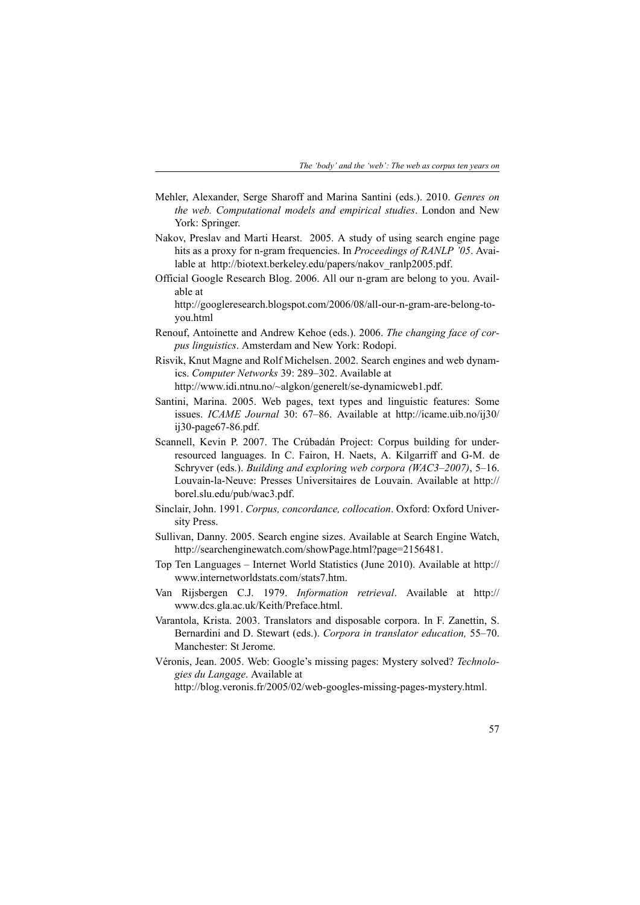- Mehler, Alexander, Serge Sharoff and Marina Santini (eds.). 2010. *Genres on the web. Computational models and empirical studies*. London and New York: Springer.
- Nakov, Preslav and Marti Hearst. 2005. A study of using search engine page hits as a proxy for n-gram frequencies. In *Proceedings of RANLP '05*. Available at http://biotext.berkeley.edu/papers/nakov\_ranlp2005.pdf.
- Official Google Research Blog. 2006. All our n-gram are belong to you. Available at

http://googleresearch.blogspot.com/2006/08/all-our-n-gram-are-belong-toyou.html

- Renouf, Antoinette and Andrew Kehoe (eds.). 2006. *The changing face of corpus linguistics*. Amsterdam and New York: Rodopi.
- Risvik, Knut Magne and Rolf Michelsen. 2002. Search engines and web dynamics. *Computer Networks* 39: 289–302. Available at

http://www.idi.ntnu.no/~algkon/generelt/se-dynamicweb1.pdf.

- Santini, Marina. 2005. Web pages, text types and linguistic features: Some issues. *ICAME Journal* 30: 67–86. Available at http://icame.uib.no/ij30/ ij30-page67-86.pdf.
- Scannell, Kevin P. 2007. The Crúbadán Project: Corpus building for underresourced languages. In C. Fairon, H. Naets, A. Kilgarriff and G-M. de Schryver (eds.). *Building and exploring web corpora (WAC3–2007)*, 5–16. Louvain-la-Neuve: Presses Universitaires de Louvain. Available at http:// borel.slu.edu/pub/wac3.pdf.
- Sinclair, John. 1991. *Corpus, concordance, collocation*. Oxford: Oxford University Press.
- Sullivan, Danny. 2005. Search engine sizes. Available at Search Engine Watch, http://searchenginewatch.com/showPage.html?page=2156481.
- Top Ten Languages Internet World Statistics (June 2010). Available at http:// www.internetworldstats.com/stats7.htm.
- Van Rijsbergen C.J. 1979. *Information retrieval*. Available at http:// www.dcs.gla.ac.uk/Keith/Preface.html.
- Varantola, Krista. 2003. Translators and disposable corpora. In F. Zanettin, S. Bernardini and D. Stewart (eds.). *Corpora in translator education,* 55–70. Manchester: St Jerome.
- Véronis, Jean. 2005. Web: Google's missing pages: Mystery solved? *Technologies du Langage*. Available at

http://blog.veronis.fr/2005/02/web-googles-missing-pages-mystery.html.